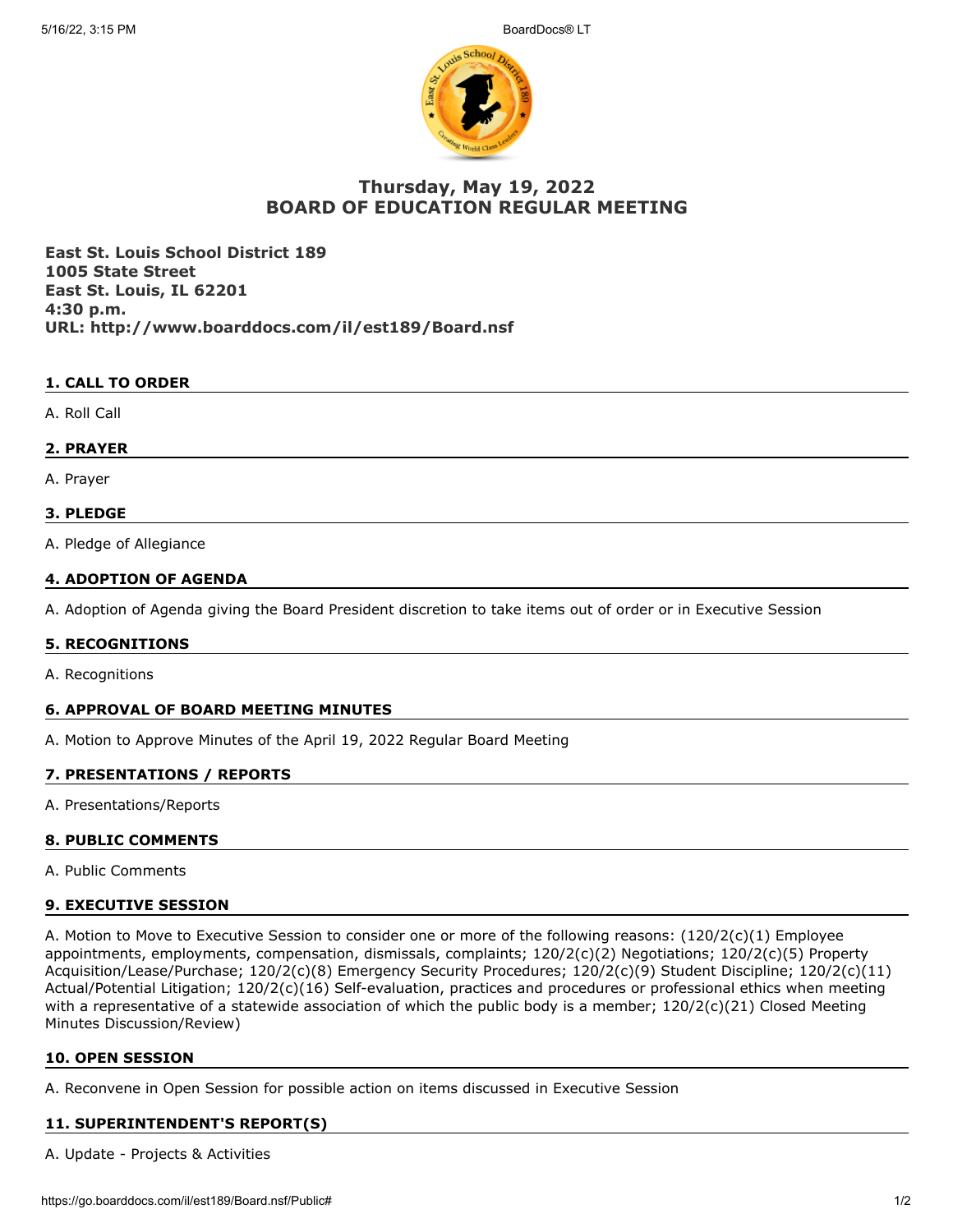

# **Thursday, May 19, 2022 BOARD OF EDUCATION REGULAR MEETING**

**East St. Louis School District 189 1005 State Street East St. Louis, IL 62201 4:30 p.m. URL: http://www.boarddocs.com/il/est189/Board.nsf**

## **1. CALL TO ORDER**

A. Roll Call

## **2. PRAYER**

A. Prayer

## **3. PLEDGE**

A. Pledge of Allegiance

## **4. ADOPTION OF AGENDA**

A. Adoption of Agenda giving the Board President discretion to take items out of order or in Executive Session

## **5. RECOGNITIONS**

A. Recognitions

## **6. APPROVAL OF BOARD MEETING MINUTES**

A. Motion to Approve Minutes of the April 19, 2022 Regular Board Meeting

## **7. PRESENTATIONS / REPORTS**

A. Presentations/Reports

## **8. PUBLIC COMMENTS**

A. Public Comments

## **9. EXECUTIVE SESSION**

A. Motion to Move to Executive Session to consider one or more of the following reasons: (120/2(c)(1) Employee appointments, employments, compensation, dismissals, complaints; 120/2(c)(2) Negotiations; 120/2(c)(5) Property Acquisition/Lease/Purchase; 120/2(c)(8) Emergency Security Procedures; 120/2(c)(9) Student Discipline; 120/2(c)(11) Actual/Potential Litigation; 120/2(c)(16) Self-evaluation, practices and procedures or professional ethics when meeting with a representative of a statewide association of which the public body is a member; 120/2(c)(21) Closed Meeting Minutes Discussion/Review)

## **10. OPEN SESSION**

A. Reconvene in Open Session for possible action on items discussed in Executive Session

## **11. SUPERINTENDENT'S REPORT(S)**

A. Update - Projects & Activities